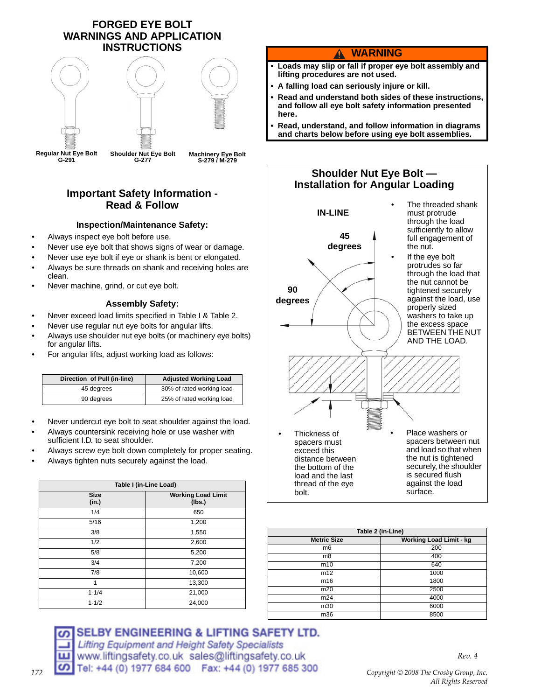### **FORGED EYE BOLT WARNINGS AND APPLICATION INSTRUCTIONS**



## **Important Safety Information - Read & Follow**

### **Inspection/Maintenance Safety:**

- Always inspect eye bolt before use.
- Never use eye bolt that shows signs of wear or damage.
- Never use eye bolt if eye or shank is bent or elongated.
- Always be sure threads on shank and receiving holes are clean.
- Never machine, grind, or cut eye bolt.

### **Assembly Safety:**

- Never exceed load limits specified in Table I & Table 2.
- Never use regular nut eye bolts for angular lifts.
- Always use shoulder nut eye bolts (or machinery eye bolts) for angular lifts.
- For angular lifts, adjust working load as follows:

| Direction of Pull (in-line) | <b>Adjusted Working Load</b> |  |
|-----------------------------|------------------------------|--|
| 45 degrees                  | 30% of rated working load    |  |
| 90 degrees                  | 25% of rated working load    |  |

- Never undercut eye bolt to seat shoulder against the load.
- Always countersink receiving hole or use washer with sufficient I.D. to seat shoulder.
- Always screw eye bolt down completely for proper seating.
- Always tighten nuts securely against the load.

| Table I (in-Line Load) |                                     |  |
|------------------------|-------------------------------------|--|
| <b>Size</b><br>(in.)   | <b>Working Load Limit</b><br>(lbs.) |  |
| 1/4                    | 650                                 |  |
| 5/16                   | 1,200                               |  |
| 3/8                    | 1,550                               |  |
| 1/2                    | 2,600                               |  |
| 5/8                    | 5,200                               |  |
| 3/4                    | 7,200                               |  |
| 7/8                    | 10,600                              |  |
| 1                      | 13,300                              |  |
| $1 - 1/4$              | 21,000                              |  |
| $1 - 1/2$              | 24,000                              |  |

### SELBY ENGINEERING & LIFTING SAFETY LTD. Lifting Equipment and Height Safety Specialists www.liftingsafety.co.uk sales@liftingsafety.co.uk CO Tel: +44 (0) 1977 684 600 Fax: +44 (0) 1977 685 300

### **WARNING** 4

- **Loads may slip or fall if proper eye bolt assembly and lifting procedures are not used.**
- **A falling load can seriously injure or kill.**
- **Read and understand both sides of these instructions, and follow all eye bolt safety information presented here.**
- **Read, understand, and follow information in diagrams and charts below before using eye bolt assemblies.**



| Table 2 (in-Line)  |                                |  |  |
|--------------------|--------------------------------|--|--|
| <b>Metric Size</b> | <b>Working Load Limit - kg</b> |  |  |
| m <sub>6</sub>     | 200                            |  |  |
| m8                 | 400                            |  |  |
| m10                | 640                            |  |  |
| m12                | 1000                           |  |  |
| m16                | 1800                           |  |  |
| m20                | 2500                           |  |  |
| m24                | 4000                           |  |  |
| m30                | 6000                           |  |  |
| m36                | 8500                           |  |  |

*Copyright © 2008 The Crosby Group, Inc. All Rights Reserved*